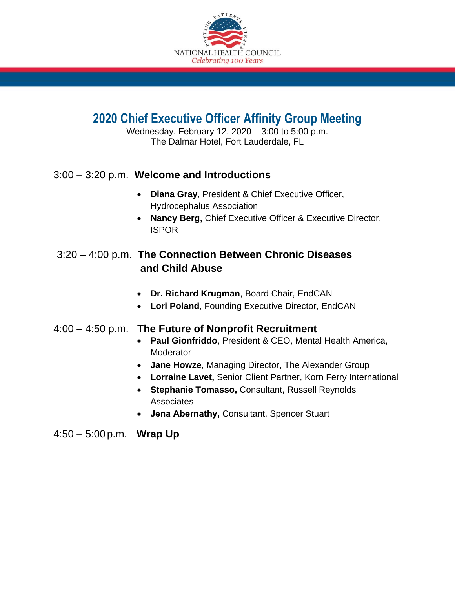

# **2020 Chief Executive Officer Affinity Group Meeting**

Wednesday, February 12, 2020 – 3:00 to 5:00 p.m. The Dalmar Hotel, Fort Lauderdale, FL

### 3:00 – 3:20 p.m. **Welcome and Introductions**

- **Diana Gray**, President & Chief Executive Officer, Hydrocephalus Association
- **Nancy Berg,** Chief Executive Officer & Executive Director, ISPOR

### 3:20 – 4:00 p.m. **The Connection Between Chronic Diseases and Child Abuse**

- **Dr. Richard Krugman**, Board Chair, EndCAN
- **Lori Poland**, Founding Executive Director, EndCAN

#### 4:00 – 4:50 p.m. **The Future of Nonprofit Recruitment**

- **Paul Gionfriddo**, President & CEO, Mental Health America, **Moderator**
- **Jane Howze**, Managing Director, The Alexander Group
- **Lorraine Lavet,** Senior Client Partner, Korn Ferry International
- **Stephanie Tomasso,** Consultant, Russell Reynolds Associates
- **Jena Abernathy,** Consultant, Spencer Stuart

4:50 – 5:00 p.m. **Wrap Up**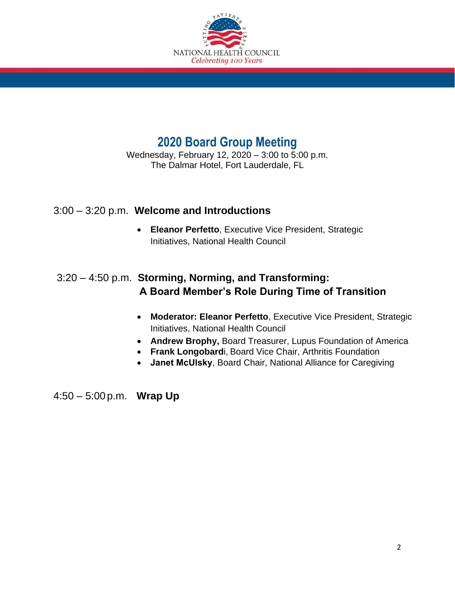

## **2020 Board Group Meeting**

Wednesday, February 12, 2020 – 3:00 to 5:00 p.m. The Dalmar Hotel, Fort Lauderdale, FL

### 3:00 – 3:20 p.m. **Welcome and Introductions**

• **Eleanor Perfetto**, Executive Vice President, Strategic Initiatives, National Health Council

## 3:20 – 4:50 p.m. **Storming, Norming, and Transforming: A Board Member's Role During Time of Transition**

- **Moderator: Eleanor Perfetto**, Executive Vice President, Strategic Initiatives, National Health Council
- **Andrew Brophy,** Board Treasurer, Lupus Foundation of America
- **Frank Longobard**i, Board Vice Chair, Arthritis Foundation
- **Janet McUlsky**, Board Chair, National Alliance for Caregiving

4:50 – 5:00 p.m. **Wrap Up**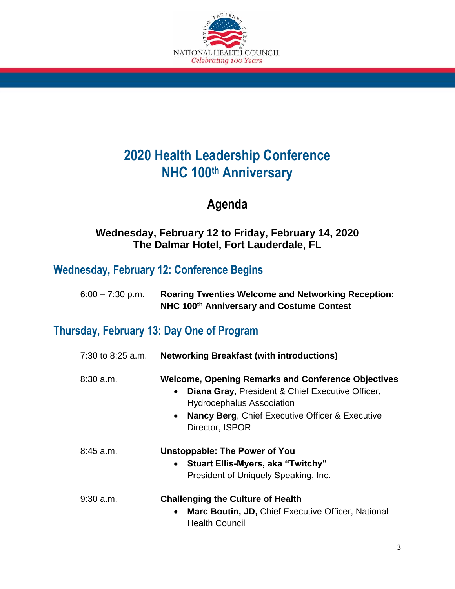

# **2020 Health Leadership Conference NHC 100th Anniversary**

## **Agenda**

### **Wednesday, February 12 to Friday, February 14, 2020 The Dalmar Hotel, Fort Lauderdale, FL**

## **Wednesday, February 12: Conference Begins**

| $6:00 - 7:30$ p.m. | <b>Roaring Twenties Welcome and Networking Reception:</b> |
|--------------------|-----------------------------------------------------------|
|                    | NHC 100th Anniversary and Costume Contest                 |

## **Thursday, February 13: Day One of Program**

| 7:30 to 8:25 a.m. | <b>Networking Breakfast (with introductions)</b>                                                                                                                                                                                                             |
|-------------------|--------------------------------------------------------------------------------------------------------------------------------------------------------------------------------------------------------------------------------------------------------------|
| $8:30$ a.m.       | <b>Welcome, Opening Remarks and Conference Objectives</b><br>Diana Gray, President & Chief Executive Officer,<br>$\bullet$<br><b>Hydrocephalus Association</b><br><b>Nancy Berg, Chief Executive Officer &amp; Executive</b><br>$\bullet$<br>Director, ISPOR |
| $8:45$ a.m.       | Unstoppable: The Power of You<br><b>Stuart Ellis-Myers, aka "Twitchy"</b><br>President of Uniquely Speaking, Inc.                                                                                                                                            |
| $9:30$ a.m.       | <b>Challenging the Culture of Health</b><br>Marc Boutin, JD, Chief Executive Officer, National<br>$\bullet$<br><b>Health Council</b>                                                                                                                         |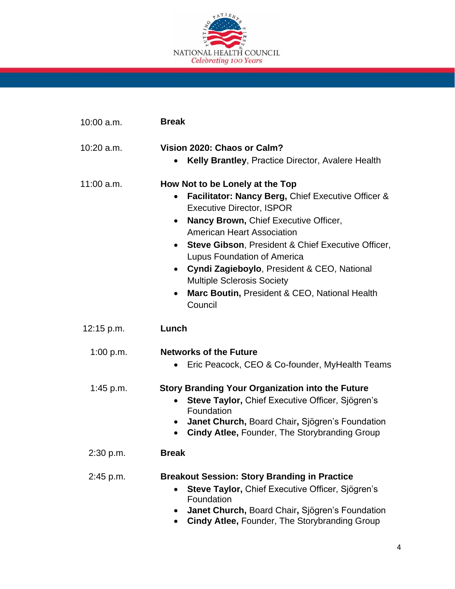

| 10:00 a.m. | <b>Break</b>                                                                                                                                                                                                                                                                                                                                                                                                                                                                    |
|------------|---------------------------------------------------------------------------------------------------------------------------------------------------------------------------------------------------------------------------------------------------------------------------------------------------------------------------------------------------------------------------------------------------------------------------------------------------------------------------------|
| 10:20 a.m. | Vision 2020: Chaos or Calm?<br>Kelly Brantley, Practice Director, Avalere Health                                                                                                                                                                                                                                                                                                                                                                                                |
| 11:00 a.m. | How Not to be Lonely at the Top<br>Facilitator: Nancy Berg, Chief Executive Officer &<br>٠<br><b>Executive Director, ISPOR</b><br>Nancy Brown, Chief Executive Officer,<br>$\bullet$<br><b>American Heart Association</b><br>• Steve Gibson, President & Chief Executive Officer,<br>Lupus Foundation of America<br>• Cyndi Zagieboylo, President & CEO, National<br><b>Multiple Sclerosis Society</b><br>Marc Boutin, President & CEO, National Health<br>$\bullet$<br>Council |
| 12:15 p.m. | Lunch                                                                                                                                                                                                                                                                                                                                                                                                                                                                           |
| 1:00 p.m.  | <b>Networks of the Future</b><br>Eric Peacock, CEO & Co-founder, MyHealth Teams<br>$\bullet$                                                                                                                                                                                                                                                                                                                                                                                    |
| 1:45 p.m.  | <b>Story Branding Your Organization into the Future</b><br>Steve Taylor, Chief Executive Officer, Sjögren's<br>$\bullet$<br>Foundation<br>Janet Church, Board Chair, Sjögren's Foundation<br>$\bullet$<br><b>Cindy Atlee, Founder, The Storybranding Group</b>                                                                                                                                                                                                                  |
| 2:30 p.m.  | <b>Break</b>                                                                                                                                                                                                                                                                                                                                                                                                                                                                    |
| 2:45 p.m.  | <b>Breakout Session: Story Branding in Practice</b><br>Steve Taylor, Chief Executive Officer, Sjögren's<br>$\bullet$<br>Foundation<br>Janet Church, Board Chair, Sjögren's Foundation<br><b>Cindy Atlee, Founder, The Storybranding Group</b>                                                                                                                                                                                                                                   |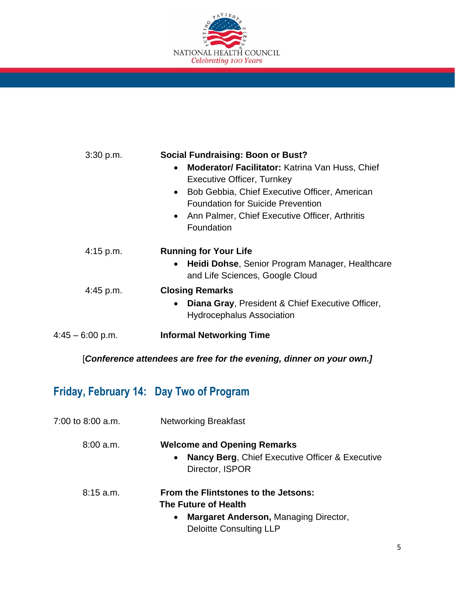

| 3:30 p.m.        | <b>Social Fundraising: Boon or Bust?</b>                                                                                                                                                                                                                         |
|------------------|------------------------------------------------------------------------------------------------------------------------------------------------------------------------------------------------------------------------------------------------------------------|
|                  | Moderator/ Facilitator: Katrina Van Huss, Chief<br>$\bullet$<br><b>Executive Officer, Turnkey</b><br>Bob Gebbia, Chief Executive Officer, American<br><b>Foundation for Suicide Prevention</b><br>• Ann Palmer, Chief Executive Officer, Arthritis<br>Foundation |
| $4:15$ p.m.      | <b>Running for Your Life</b><br>Heidi Dohse, Senior Program Manager, Healthcare<br>and Life Sciences, Google Cloud                                                                                                                                               |
| $4:45$ p.m.      | <b>Closing Remarks</b><br>Diana Gray, President & Chief Executive Officer,<br><b>Hydrocephalus Association</b>                                                                                                                                                   |
| 4:45 – 6:00 p.m. | <b>Informal Networking Time</b>                                                                                                                                                                                                                                  |
|                  |                                                                                                                                                                                                                                                                  |

[*Conference attendees are free for the evening, dinner on your own.]*

# **Friday, February 14: Day Two of Program**

| 7:00 to 8:00 a.m. | <b>Networking Breakfast</b>                                                                                                                                 |
|-------------------|-------------------------------------------------------------------------------------------------------------------------------------------------------------|
| 8:00 a.m.         | <b>Welcome and Opening Remarks</b><br><b>Nancy Berg, Chief Executive Officer &amp; Executive</b><br>$\bullet$<br>Director, ISPOR                            |
| $8:15$ a.m.       | From the Flintstones to the Jetsons:<br>The Future of Health<br><b>Margaret Anderson, Managing Director,</b><br>$\bullet$<br><b>Deloitte Consulting LLP</b> |